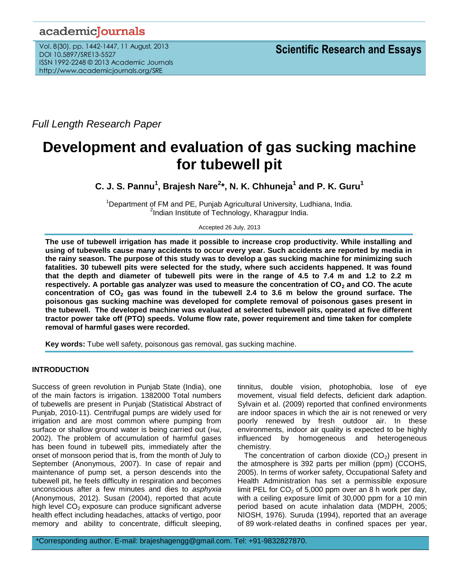# academicJournals

Vol. 8(30), pp. 1442-1447, 11 August, 2013 DOI 10.5897/SRE13-5527 ISSN 1992-2248 © 2013 Academic Journals http://www.academicjournals.org/SRE

*Full Length Research Paper*

# **Development and evaluation of gas sucking machine for tubewell pit**

**C. J. S. Pannu<sup>1</sup> , Brajesh Nare<sup>2</sup> \*, N. K. Chhuneja<sup>1</sup> and P. K. Guru<sup>1</sup>**

 $1$ Department of FM and PE, Punjab Agricultural University, Ludhiana, India. <sup>2</sup>Indian Institute of Technology, Kharagpur India.

Accepted 26 July, 2013

**The use of tubewell irrigation has made it possible to increase crop productivity. While installing and using of tubewells cause many accidents to occur every year. Such accidents are reported by media in the rainy season. The purpose of this study was to develop a gas sucking machine for minimizing such fatalities. 30 tubewell pits were selected for the study, where such accidents happened. It was found that the depth and diameter of tubewell pits were in the range of 4.5 to 7.4 m and 1.2 to 2.2 m respectively. A portable gas analyzer was used to measure the concentration of CO<sup>2</sup> and CO. The acute concentration of CO<sup>2</sup> gas was found in the tubewell 2.4 to 3.6 m below the ground surface. The poisonous gas sucking machine was developed for complete removal of poisonous gases present in the tubewell. The developed machine was evaluated at selected tubewell pits, operated at five different tractor power take off (PTO) speeds. Volume flow rate, power requirement and time taken for complete removal of harmful gases were recorded.**

**Key words:** Tube well safety, poisonous gas removal, gas sucking machine.

# **INTRODUCTION**

Success of green revolution in Punjab State (India), one of the main factors is irrigation. 1382000 Total numbers of tubewells are present in Punjab (Statistical Abstract of Punjab, 2010-11). Centrifugal pumps are widely used for irrigation and are most common where pumping from surface or shallow ground water is being carried out (Hal, 2002). The problem of accumulation of harmful gases has been found in tubewell pits, immediately after the onset of monsoon period that is, from the month of July to September (Anonymous, 2007). In case of repair and maintenance of pump set, a person descends into the tubewell pit, he feels difficulty in respiration and becomes unconscious after a few minutes and dies to *asphyxia*  (Anonymous, 2012). Susan (2004), reported that acute high level  $CO<sub>2</sub>$  exposure can produce significant adverse health effect including headaches, attacks of vertigo, poor memory and ability to concentrate, difficult sleeping,

tinnitus, double vision, photophobia, lose of eye movement, visual field defects, deficient dark adaption. Sylvain et al. (2009) reported that confined environments are indoor spaces in which the air is not renewed or very poorly renewed by fresh outdoor air. In these environments, indoor air quality is expected to be highly influenced by homogeneous and heterogeneous chemistry.

The concentration of carbon dioxide  $(CO<sub>2</sub>)$  present in the atmosphere is 392 parts per million (ppm) (CCOHS, 2005). In terms of worker safety, Occupational Safety and Health Administration has set a permissible exposure limit PEL for  $CO<sub>2</sub>$  of 5,000 ppm over an 8 h work per day, with a ceiling exposure limit of 30,000 ppm for a 10 min period based on acute inhalation data (MDPH, 2005; NIOSH, 1976). Suruda (1994), reported that an average of 89 work-related deaths in confined spaces per year,

\*Corresponding author. E-mail: brajeshagengg@gmail.com. Tel: +91-9832827870.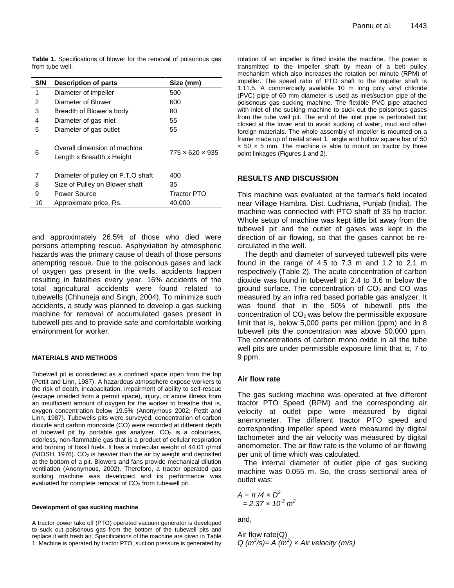**Table 1.** Specifications of blower for the removal of poisonous gas from tube well.

| S/N | <b>Description of parts</b>                               | Size (mm)                   |  |
|-----|-----------------------------------------------------------|-----------------------------|--|
| 1   | Diameter of impeller                                      | 500                         |  |
| 2   | Diameter of Blower                                        | 600                         |  |
| 3   | Breadth of Blower's body                                  | 80                          |  |
| 4   | Diameter of gas inlet                                     | 55                          |  |
| 5   | Diameter of gas outlet                                    | 55                          |  |
| 6   | Overall dimension of machine<br>Length x Breadth x Height | $775 \times 620 \times 935$ |  |
| 7   | Diameter of pulley on P.T.O shaft                         | 400                         |  |
| 8   | Size of Pulley on Blower shaft                            | 35                          |  |
| 9   | Power Source                                              | <b>Tractor PTO</b>          |  |
| 10  | Approximate price, Rs.                                    | 40,000                      |  |

and approximately 26.5% of those who died were persons attempting rescue. Asphyxiation by atmospheric hazards was the primary cause of death of those persons attempting rescue. Due to the poisonous gases and lack of oxygen gas present in the wells, accidents happen resulting in fatalities every year. 16% accidents of the total agricultural accidents were found related to tubewells (Chhuneja and Singh, 2004). To minimize such accidents, a study was planned to develop a gas sucking machine for removal of accumulated gases present in tubewell pits and to provide safe and comfortable working environment for worker.

#### **MATERIALS AND METHODS**

Tubewell pit is considered as a confined space open from the top (Pettit and Linn, 1987). A hazardous atmosphere expose workers to the risk of death, incapacitation, impairment of ability to self-rescue (escape unaided from a permit space), injury, or acute illness from an insufficient amount of oxygen for the worker to breathe that is, oxygen concentration below 19.5% (Anonymous 2002; Pettit and Linn, 1987). Tubewells pits were surveyed; concentration of carbon dioxide and carbon monoxide (CO) were recorded at different depth of tubewell pit by portable gas analyzer.  $CO<sub>2</sub>$  is a colourless, odorless, non-flammable gas that is a product of cellular respiration and burning of fossil fuels. It has a molecular weight of 44.01 g/mol (NIOSH, 1976).  $CO<sub>2</sub>$  is heavier than the air by weight and deposited at the bottom of a pit. Blowers and fans provide mechanical dilution ventilation (Anonymous, 2002). Therefore, a tractor operated gas sucking machine was developed and its performance was evaluated for complete removal of  $CO<sub>2</sub>$  from tubewell pit.

#### **Development of gas sucking machine**

A tractor power take off (PTO) operated vacuum generator is developed to suck out poisonous gas from the bottom of the tubewell pits and replace it with fresh air. Specifications of the machine are given in Table 1. Machine is operated by tractor PTO, suction pressure is generated by rotation of an impeller is fitted inside the machine. The power is transmitted to the impeller shaft by mean of a belt pulley mechanism which also increases the rotation per minute (RPM) of impeller. The speed ratio of PTO shaft to the impeller shaft is 1:11.5. A commercially available 10 m long poly vinyl chloride (PVC) pipe of 60 mm diameter is used as inlet/suction pipe of the poisonous gas sucking machine. The flexible PVC pipe attached with inlet of the sucking machine to suck out the poisonous gases from the tube well pit. The end of the inlet pipe is perforated but closed at the lower end to avoid sucking of water, mud and other foreign materials. The whole assembly of impeller is mounted on a frame made up of metal sheet 'L' angle and hollow square bar of 50  $\times$  50  $\times$  5 mm. The machine is able to mount on tractor by three point linkages (Figures 1 and 2).

# **RESULTS AND DISCUSSION**

This machine was evaluated at the farmer's field located near Village Hambra, Dist. Ludhiana, Punjab (India). The machine was connected with PTO shaft of 35 hp tractor. Whole setup of machine was kept little bit away from the tubewell pit and the outlet of gases was kept in the direction of air flowing, so that the gases cannot be recirculated in the well.

The depth and diameter of surveyed tubewell pits were found in the range of 4.5 to 7.3 m and 1.2 to 2.1 m respectively (Table 2). The acute concentration of carbon dioxide was found in tubewell pit 2.4 to 3.6 m below the ground surface. The concentration of  $CO<sub>2</sub>$  and CO was measured by an infra red based portable gas analyzer. It was found that in the 50% of tubewell pits the concentration of  $CO<sub>2</sub>$  was below the permissible exposure limit that is, below 5,000 parts per million (ppm) and in 8 tubewell pits the concentration was above 50,000 ppm. The concentrations of carbon mono oxide in all the tube well pits are under permissible exposure limit that is, 7 to 9 ppm.

# **Air flow rate**

The gas sucking machine was operated at five different tractor PTO Speed (RPM) and the corresponding air velocity at outlet pipe were measured by digital anemometer. The different tractor PTO speed and corresponding impeller speed were measured by digital tachometer and the air velocity was measured by digital anemometer. The air flow rate is the volume of air flowing per unit of time which was calculated.

The internal diameter of outlet pipe of gas sucking machine was 0.055 m. So, the cross sectional area of outlet was:

$$
A = \pi / 4 \times D^2
$$
  
= 2.37 × 10<sup>-3</sup> m<sup>2</sup>

and,

Air flow rate(Q) *Q*  $(m^3/s) = A(m^2) \times Air$  *velocity*  $(m/s)$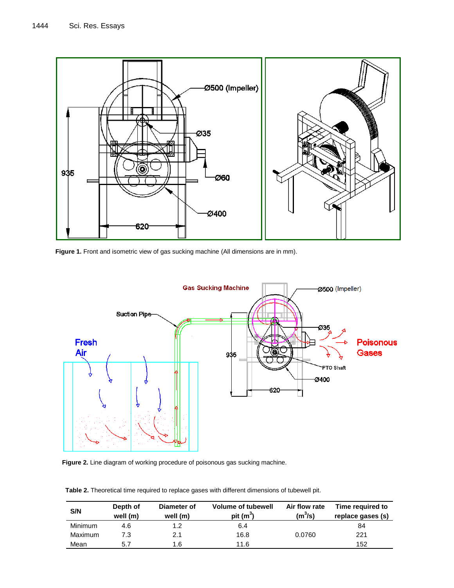

Figure 1. Front and isometric view of gas sucking machine (All dimensions are in mm).



**Figure 2.** Line diagram of working procedure of poisonous gas sucking machine.

**Table 2.** Theoretical time required to replace gases with different dimensions of tubewell pit.

| S/N            | Depth of<br>well (m) | Diameter of<br>well (m) | <b>Volume of tubewell</b><br>pit $(m^3)$ | Air flow rate<br>$(m^3/s)$ | Time required to<br>replace gases (s) |
|----------------|----------------------|-------------------------|------------------------------------------|----------------------------|---------------------------------------|
| <b>Minimum</b> | 4.6                  | 1.2                     | 6.4                                      |                            | 84                                    |
| Maximum        | 7.3                  | 2.1                     | 16.8                                     | 0.0760                     | 221                                   |
| Mean           | 5.7                  | 1.6                     | 11.6                                     |                            | 152                                   |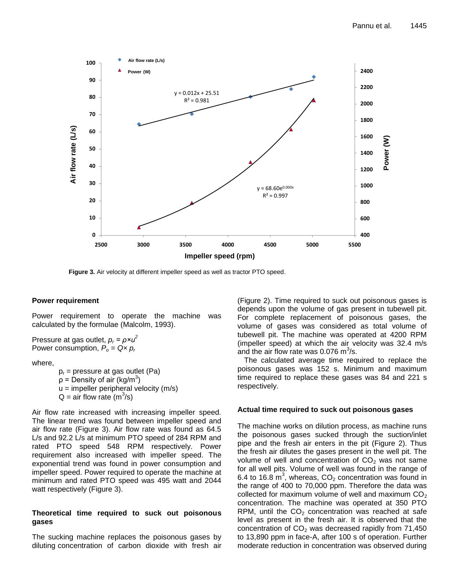

**Figure 3.** Air velocity at different impeller speed as well as tractor PTO speed.

# **Power requirement**

Power requirement to operate the machine was calculated by the formulae (Malcolm, 1993).

Pressure at gas outlet, *p<sup>r</sup> = ρ×u<sup>2</sup>* Power consumption,  $P_o = Q \times p_r$ 

where,

 $p_r$  = pressure at gas outlet (Pa)  $\rho$  = Density of air (kg/m<sup>3</sup>)  $u =$  impeller peripheral velocity (m/s)  $Q = \text{air flow rate } (m^3/s)$ 

Air flow rate increased with increasing impeller speed. The linear trend was found between impeller speed and air flow rate (Figure 3). Air flow rate was found as 64.5 L/s and 92.2 L/s at minimum PTO speed of 284 RPM and rated PTO speed 548 RPM respectively. Power requirement also increased with impeller speed. The exponential trend was found in power consumption and impeller speed. Power required to operate the machine at minimum and rated PTO speed was 495 watt and 2044 watt respectively (Figure 3).

# **Theoretical time required to suck out poisonous gases**

The sucking machine replaces the poisonous gases by diluting concentration of carbon dioxide with fresh air (Figure 2). Time required to suck out poisonous gases is depends upon the volume of gas present in tubewell pit. For complete replacement of poisonous gases, the volume of gases was considered as total volume of tubewell pit. The machine was operated at 4200 RPM (impeller speed) at which the air velocity was 32.4 m/s and the air flow rate was 0.076  $\text{m}^3\text{/s}$ .

The calculated average time required to replace the poisonous gases was 152 s. Minimum and maximum time required to replace these gases was 84 and 221 s respectively.

# **Actual time required to suck out poisonous gases**

The machine works on dilution process, as machine runs the poisonous gases sucked through the suction/inlet pipe and the fresh air enters in the pit (Figure 2). Thus the fresh air dilutes the gases present in the well pit. The volume of well and concentration of  $CO<sub>2</sub>$  was not same for all well pits. Volume of well was found in the range of 6.4 to 16.8  $\text{m}^3$ , whereas,  $\text{CO}_2$  concentration was found in the range of 400 to 70,000 ppm. Therefore the data was collected for maximum volume of well and maximum  $CO<sub>2</sub>$ concentration. The machine was operated at 350 PTO RPM, until the  $CO<sub>2</sub>$  concentration was reached at safe level as present in the fresh air. It is observed that the concentration of  $CO<sub>2</sub>$  was decreased rapidly from 71,450 to 13,890 ppm in face-A, after 100 s of operation. Further moderate reduction in concentration was observed during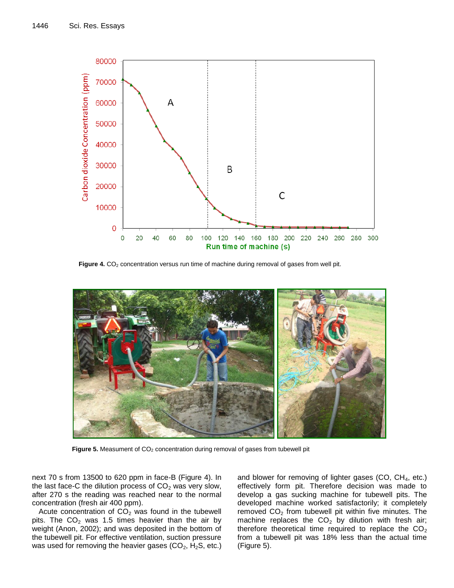

Figure 4. CO<sub>2</sub> concentration versus run time of machine during removal of gases from well pit.



Figure 5. Measument of CO<sub>2</sub> concentration during removal of gases from tubewell pit

next 70 s from 13500 to 620 ppm in face-B (Figure 4). In the last face-C the dilution process of  $CO<sub>2</sub>$  was very slow, after 270 s the reading was reached near to the normal concentration (fresh air 400 ppm).

Acute concentration of  $CO<sub>2</sub>$  was found in the tubewell pits. The  $CO<sub>2</sub>$  was 1.5 times heavier than the air by weight (Anon, 2002); and was deposited in the bottom of the tubewell pit. For effective ventilation, suction pressure was used for removing the heavier gases  $(CO_2, H_2S, etc.)$ 

and blower for removing of lighter gases (CO, CH<sub>4</sub>, etc.) effectively form pit. Therefore decision was made to develop a gas sucking machine for tubewell pits. The developed machine worked satisfactorily; it completely removed  $CO<sub>2</sub>$  from tubewell pit within five minutes. The machine replaces the  $CO<sub>2</sub>$  by dilution with fresh air; therefore theoretical time required to replace the  $CO<sub>2</sub>$ from a tubewell pit was 18% less than the actual time (Figure 5).